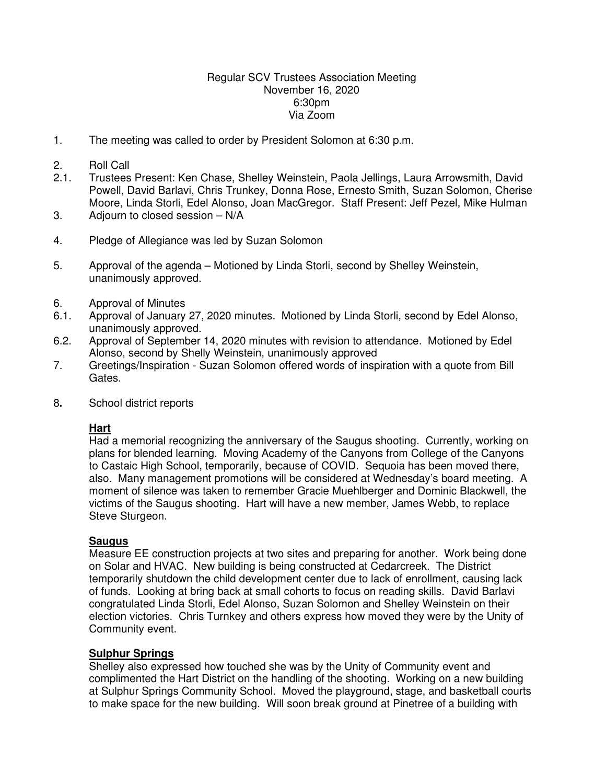#### Regular SCV Trustees Association Meeting November 16, 2020 6:30pm Via Zoom

1. The meeting was called to order by President Solomon at 6:30 p.m.

#### 2. Roll Call

- 2.1. Trustees Present: Ken Chase, Shelley Weinstein, Paola Jellings, Laura Arrowsmith, David Powell, David Barlavi, Chris Trunkey, Donna Rose, Ernesto Smith, Suzan Solomon, Cherise Moore, Linda Storli, Edel Alonso, Joan MacGregor. Staff Present: Jeff Pezel, Mike Hulman
- 3. Adjourn to closed session N/A
- 4. Pledge of Allegiance was led by Suzan Solomon
- 5. Approval of the agenda Motioned by Linda Storli, second by Shelley Weinstein, unanimously approved.
- 6. Approval of Minutes
- 6.1. Approval of January 27, 2020 minutes. Motioned by Linda Storli, second by Edel Alonso, unanimously approved.
- 6.2. Approval of September 14, 2020 minutes with revision to attendance. Motioned by Edel Alonso, second by Shelly Weinstein, unanimously approved
- 7. Greetings/Inspiration Suzan Solomon offered words of inspiration with a quote from Bill Gates.
- 8**.** School district reports

## **Hart**

Had a memorial recognizing the anniversary of the Saugus shooting. Currently, working on plans for blended learning. Moving Academy of the Canyons from College of the Canyons to Castaic High School, temporarily, because of COVID. Sequoia has been moved there, also. Many management promotions will be considered at Wednesday's board meeting. A moment of silence was taken to remember Gracie Muehlberger and Dominic Blackwell, the victims of the Saugus shooting. Hart will have a new member, James Webb, to replace Steve Sturgeon.

## **Saugus**

Measure EE construction projects at two sites and preparing for another. Work being done on Solar and HVAC. New building is being constructed at Cedarcreek. The District temporarily shutdown the child development center due to lack of enrollment, causing lack of funds. Looking at bring back at small cohorts to focus on reading skills. David Barlavi congratulated Linda Storli, Edel Alonso, Suzan Solomon and Shelley Weinstein on their election victories. Chris Turnkey and others express how moved they were by the Unity of Community event.

#### **Sulphur Springs**

Shelley also expressed how touched she was by the Unity of Community event and complimented the Hart District on the handling of the shooting. Working on a new building at Sulphur Springs Community School. Moved the playground, stage, and basketball courts to make space for the new building. Will soon break ground at Pinetree of a building with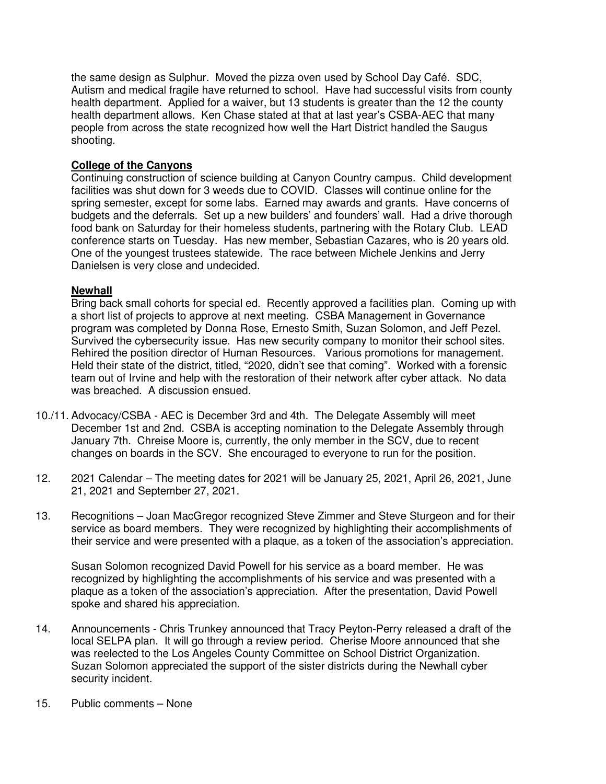the same design as Sulphur. Moved the pizza oven used by School Day Café. SDC, Autism and medical fragile have returned to school. Have had successful visits from county health department. Applied for a waiver, but 13 students is greater than the 12 the county health department allows. Ken Chase stated at that at last year's CSBA-AEC that many people from across the state recognized how well the Hart District handled the Saugus shooting.

# **College of the Canyons**

Continuing construction of science building at Canyon Country campus. Child development facilities was shut down for 3 weeds due to COVID. Classes will continue online for the spring semester, except for some labs. Earned may awards and grants. Have concerns of budgets and the deferrals. Set up a new builders' and founders' wall. Had a drive thorough food bank on Saturday for their homeless students, partnering with the Rotary Club. LEAD conference starts on Tuesday. Has new member, Sebastian Cazares, who is 20 years old. One of the youngest trustees statewide. The race between Michele Jenkins and Jerry Danielsen is very close and undecided.

## **Newhall**

Bring back small cohorts for special ed. Recently approved a facilities plan. Coming up with a short list of projects to approve at next meeting. CSBA Management in Governance program was completed by Donna Rose, Ernesto Smith, Suzan Solomon, and Jeff Pezel. Survived the cybersecurity issue. Has new security company to monitor their school sites. Rehired the position director of Human Resources. Various promotions for management. Held their state of the district, titled, "2020, didn't see that coming". Worked with a forensic team out of Irvine and help with the restoration of their network after cyber attack. No data was breached. A discussion ensued.

- 10./11. Advocacy/CSBA AEC is December 3rd and 4th. The Delegate Assembly will meet December 1st and 2nd. CSBA is accepting nomination to the Delegate Assembly through January 7th. Chreise Moore is, currently, the only member in the SCV, due to recent changes on boards in the SCV. She encouraged to everyone to run for the position.
- 12. 2021 Calendar The meeting dates for 2021 will be January 25, 2021, April 26, 2021, June 21, 2021 and September 27, 2021.
- 13. Recognitions Joan MacGregor recognized Steve Zimmer and Steve Sturgeon and for their service as board members. They were recognized by highlighting their accomplishments of their service and were presented with a plaque, as a token of the association's appreciation.

 Susan Solomon recognized David Powell for his service as a board member. He was recognized by highlighting the accomplishments of his service and was presented with a plaque as a token of the association's appreciation. After the presentation, David Powell spoke and shared his appreciation.

- 14. Announcements Chris Trunkey announced that Tracy Peyton-Perry released a draft of the local SELPA plan. It will go through a review period. Cherise Moore announced that she was reelected to the Los Angeles County Committee on School District Organization. Suzan Solomon appreciated the support of the sister districts during the Newhall cyber security incident.
- 15. Public comments None